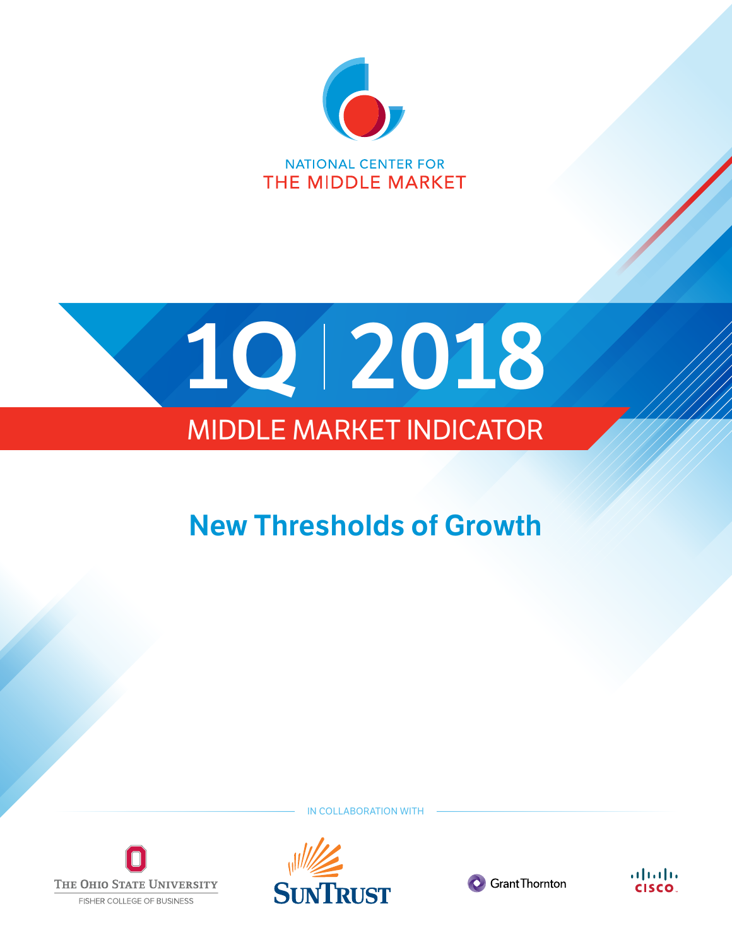

**NATIONAL CENTER FOR** THE MIDDLE MARKET



# MIDDLE MARKET INDICATOR

# **New Thresholds of Growth**



**IN COLLABORATION WITH** 





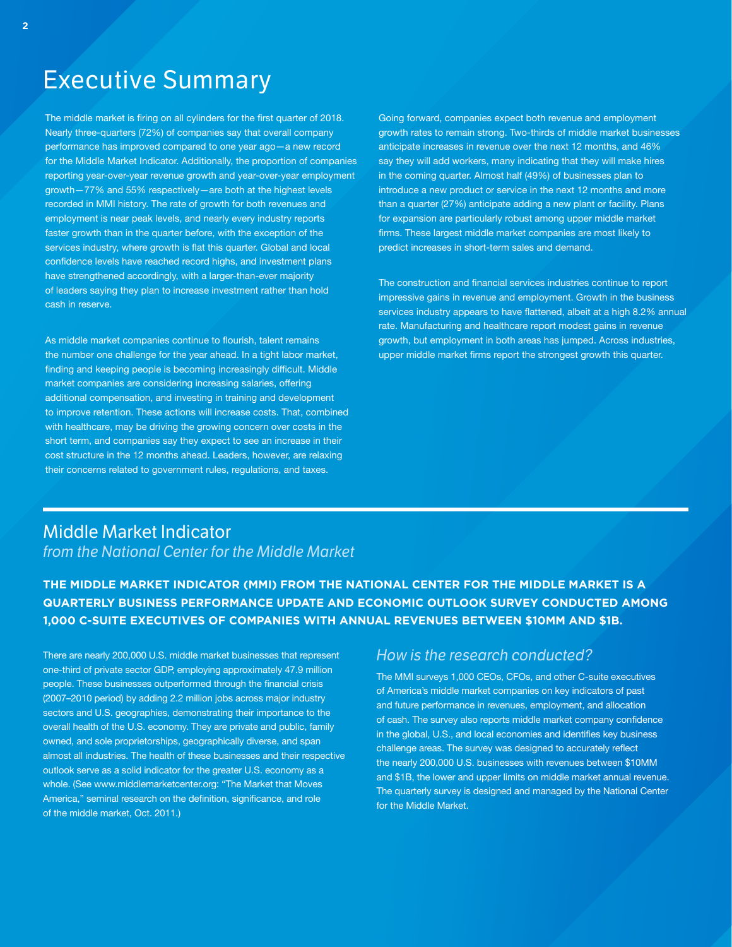# Executive Summary

The middle market is firing on all cylinders for the first quarter of 2018. Nearly three-quarters (72%) of companies say that overall company performance has improved compared to one year ago—a new record for the Middle Market Indicator. Additionally, the proportion of companies reporting year-over-year revenue growth and year-over-year employment growth—77% and 55% respectively—are both at the highest levels recorded in MMI history. The rate of growth for both revenues and employment is near peak levels, and nearly every industry reports faster growth than in the quarter before, with the exception of the services industry, where growth is flat this quarter. Global and local confidence levels have reached record highs, and investment plans have strengthened accordingly, with a larger-than-ever majority of leaders saying they plan to increase investment rather than hold cash in reserve.

As middle market companies continue to flourish, talent remains the number one challenge for the year ahead. In a tight labor market, finding and keeping people is becoming increasingly difficult. Middle market companies are considering increasing salaries, offering additional compensation, and investing in training and development to improve retention. These actions will increase costs. That, combined with healthcare, may be driving the growing concern over costs in the short term, and companies say they expect to see an increase in their cost structure in the 12 months ahead. Leaders, however, are relaxing their concerns related to government rules, regulations, and taxes.

Going forward, companies expect both revenue and employment growth rates to remain strong. Two-thirds of middle market businesses anticipate increases in revenue over the next 12 months, and 46% say they will add workers, many indicating that they will make hires in the coming quarter. Almost half (49%) of businesses plan to introduce a new product or service in the next 12 months and more than a quarter (27%) anticipate adding a new plant or facility. Plans for expansion are particularly robust among upper middle market firms. These largest middle market companies are most likely to predict increases in short-term sales and demand.

The construction and financial services industries continue to report impressive gains in revenue and employment. Growth in the business services industry appears to have flattened, albeit at a high 8.2% annual rate. Manufacturing and healthcare report modest gains in revenue growth, but employment in both areas has jumped. Across industries, upper middle market firms report the strongest growth this quarter.

#### Middle Market Indicator *from the National Center for the Middle Market*

**THE MIDDLE MARKET INDICATOR (MMI) FROM THE NATIONAL CENTER FOR THE MIDDLE MARKET IS A QUARTERLY BUSINESS PERFORMANCE UPDATE AND ECONOMIC OUTLOOK SURVEY CONDUCTED AMONG 1,000 C-SUITE EXECUTIVES OF COMPANIES WITH ANNUAL REVENUES BETWEEN \$10MM AND \$1B.**

There are nearly 200,000 U.S. middle market businesses that represent one-third of private sector GDP, employing approximately 47.9 million people. These businesses outperformed through the financial crisis (2007–2010 period) by adding 2.2 million jobs across major industry sectors and U.S. geographies, demonstrating their importance to the overall health of the U.S. economy. They are private and public, family owned, and sole proprietorships, geographically diverse, and span almost all industries. The health of these businesses and their respective outlook serve as a solid indicator for the greater U.S. economy as a whole. (See www.middlemarketcenter.org: "The Market that Moves America," seminal research on the definition, significance, and role of the middle market, Oct. 2011.)

#### *How is the research conducted?*

The MMI surveys 1,000 CEOs, CFOs, and other C-suite executives of America's middle market companies on key indicators of past and future performance in revenues, employment, and allocation of cash. The survey also reports middle market company confidence in the global, U.S., and local economies and identifies key business challenge areas. The survey was designed to accurately reflect the nearly 200,000 U.S. businesses with revenues between \$10MM and \$1B, the lower and upper limits on middle market annual revenue. The quarterly survey is designed and managed by the National Center for the Middle Market.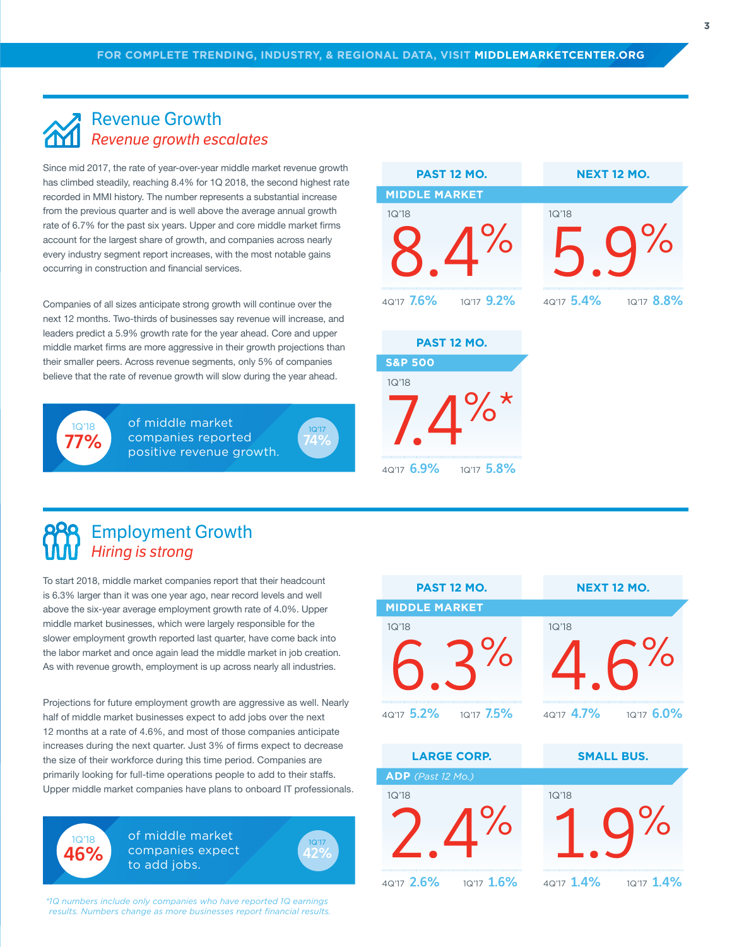#### Revenue Growth *Revenue growth escalates*

Since mid 2017, the rate of year-over-year middle market revenue growth has climbed steadily, reaching 8.4% for 1Q 2018, the second highest rate recorded in MMI history. The number represents a substantial increase from the previous quarter and is well above the average annual growth rate of 6.7% for the past six years. Upper and core middle market firms account for the largest share of growth, and companies across nearly every industry segment report increases, with the most notable gains occurring in construction and financial services.

Companies of all sizes anticipate strong growth will continue over the next 12 months. Two-thirds of businesses say revenue will increase, and leaders predict a 5.9% growth rate for the year ahead. Core and upper middle market firms are more aggressive in their growth projections than their smaller peers. Across revenue segments, only 5% of companies believe that the rate of revenue growth will slow during the year ahead.



1Q'18 **46%** of middle market companies reported positive revenue growth.



| <b>PAST 12 MO.</b>    | <b>NEXT 12 MO.</b>    |
|-----------------------|-----------------------|
| <b>MIDDLE MARKET</b>  |                       |
| 1Q'18                 | 1Q'18                 |
|                       |                       |
| 4Q'17 7.6% 1Q'17 9.2% | 4Q'17 5.4% 1Q'17 8.8% |
|                       |                       |
| <b>PAST 12 MO.</b>    |                       |
| <b>S&amp;P 500</b>    |                       |
| 1Q'18                 |                       |
|                       |                       |

4Q'17 **6.9%** 1Q'17 **5.8%**

Employment Growth *Hiring is strong*

To start 2018, middle market companies report that their headcount is 6.3% larger than it was one year ago, near record levels and well above the six-year average employment growth rate of 4.0%. Upper middle market businesses, which were largely responsible for the slower employment growth reported last quarter, have come back into the labor market and once again lead the middle market in job creation. As with revenue growth, employment is up across nearly all industries.

Projections for future employment growth are aggressive as well. Nearly half of middle market businesses expect to add jobs over the next 12 months at a rate of 4.6%, and most of those companies anticipate increases during the next quarter. Just 3% of firms expect to decrease the size of their workforce during this time period. Companies are primarily looking for full-time operations people to add to their staffs. Upper middle market companies have plans to onboard IT professionals.

> of middle market companies expect to add jobs.



*\*1Q numbers include only companies who have reported 1Q earnings results. Numbers change as more businesses report financial results.*

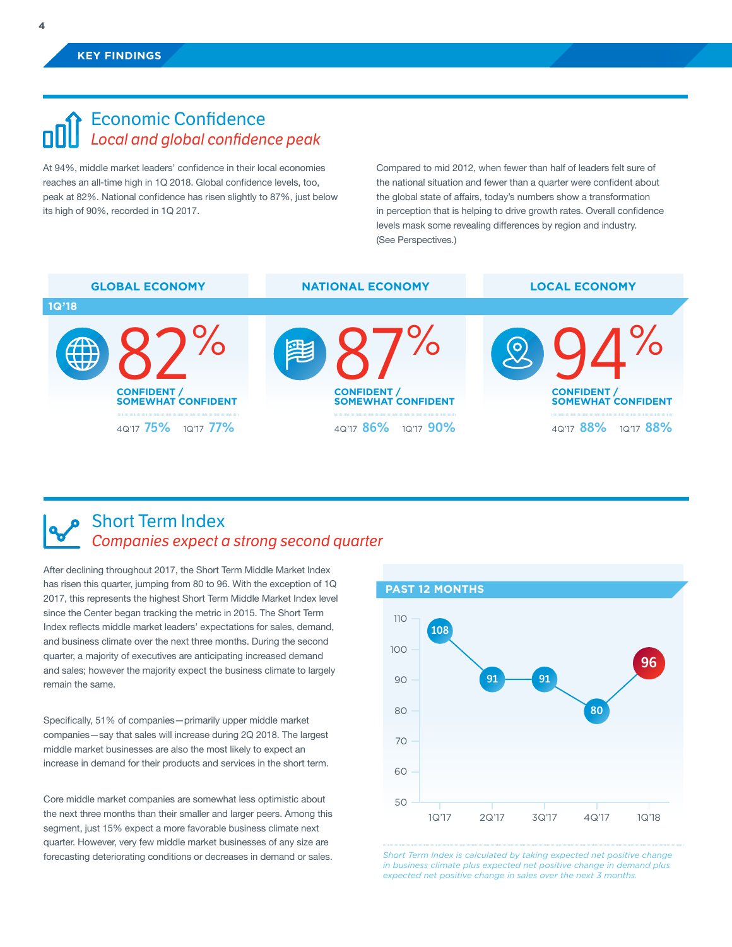## Economic Confidence *Local and global confidence peak*

At 94%, middle market leaders' confidence in their local economies reaches an all-time high in 1Q 2018. Global confidence levels, too, peak at 82%. National confidence has risen slightly to 87%, just below its high of 90%, recorded in 1Q 2017.

Compared to mid 2012, when fewer than half of leaders felt sure of the national situation and fewer than a quarter were confident about the global state of affairs, today's numbers show a transformation in perception that is helping to drive growth rates. Overall confidence levels mask some revealing differences by region and industry. (See Perspectives.)



### Short Term Index *Companies expect a strong second quarter*

After declining throughout 2017, the Short Term Middle Market Index has risen this quarter, jumping from 80 to 96. With the exception of 1Q 2017, this represents the highest Short Term Middle Market Index level since the Center began tracking the metric in 2015. The Short Term Index reflects middle market leaders' expectations for sales, demand, and business climate over the next three months. During the second quarter, a majority of executives are anticipating increased demand and sales; however the majority expect the business climate to largely remain the same.

Specifically, 51% of companies—primarily upper middle market companies—say that sales will increase during 2Q 2018. The largest middle market businesses are also the most likely to expect an increase in demand for their products and services in the short term.

Core middle market companies are somewhat less optimistic about the next three months than their smaller and larger peers. Among this segment, just 15% expect a more favorable business climate next quarter. However, very few middle market businesses of any size are forecasting deteriorating conditions or decreases in demand or sales.



*Short Term Index is calculated by taking expected net positive change in business climate plus expected net positive change in demand plus expected net positive change in sales over the next 3 months.*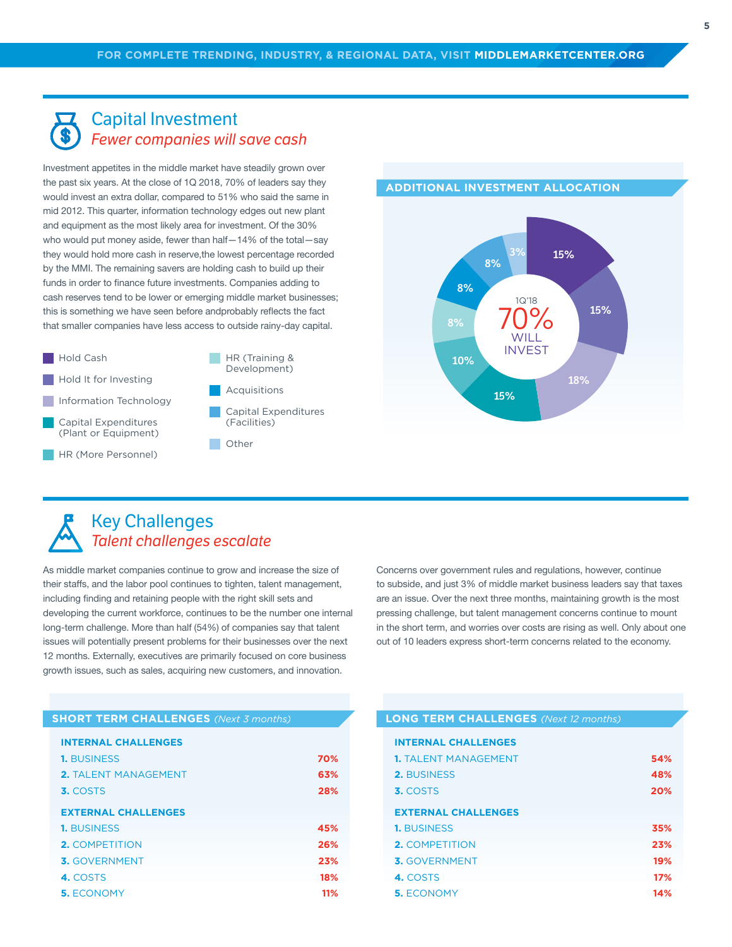#### Capital Investment *Fewer companies will save cash*

Investment appetites in the middle market have steadily grown over the past six years. At the close of 1Q 2018, 70% of leaders say they would invest an extra dollar, compared to 51% who said the same in mid 2012. This quarter, information technology edges out new plant and equipment as the most likely area for investment. Of the 30% who would put money aside, fewer than half—14% of the total—say they would hold more cash in reserve,the lowest percentage recorded by the MMI. The remaining savers are holding cash to build up their funds in order to finance future investments. Companies adding to cash reserves tend to be lower or emerging middle market businesses; this is something we have seen before andprobably reflects the fact that smaller companies have less access to outside rainy-day capital.



- **Hold It for Investing**
- **Information Technology**
- Capital Expenditures (Plant or Equipment)
- HR (More Personnel)

HR (Training & Development)

Acquisitions

- Capital Expenditures (Facilities)
- Other



#### **ADDITIONAL INVESTMENT ALLOCATION**

## Key Challenges *Talent challenges escalate*

As middle market companies continue to grow and increase the size of their staffs, and the labor pool continues to tighten, talent management, including finding and retaining people with the right skill sets and developing the current workforce, continues to be the number one internal long-term challenge. More than half (54%) of companies say that talent issues will potentially present problems for their businesses over the next 12 months. Externally, executives are primarily focused on core business growth issues, such as sales, acquiring new customers, and innovation.

Concerns over government rules and regulations, however, continue to subside, and just 3% of middle market business leaders say that taxes are an issue. Over the next three months, maintaining growth is the most pressing challenge, but talent management concerns continue to mount in the short term, and worries over costs are rising as well. Only about one out of 10 leaders express short-term concerns related to the economy.

| <b>SHORT TERM CHALLENGES</b> (Next 3 months) |
|----------------------------------------------|
|----------------------------------------------|

| <b>INTERNAL CHALLENGES</b> |
|----------------------------|
|                            |

| <b>1. BUSINESS</b>          | 70% |
|-----------------------------|-----|
| <b>2. TALENT MANAGEMENT</b> | 63% |
| 3. COSTS                    | 28% |
| <b>EXTERNAL CHALLENGES</b>  |     |
| <b>1. BUSINESS</b>          | 45% |
| <b>2. COMPETITION</b>       | 26% |
| <b>3.</b> GOVERNMENT        | 23% |
| 4. COSTS                    | 18% |
| <b>5. ECONOMY</b>           | 11% |

#### **SHORT TERM CHALLENGES** *(Next 3 months)* **LONG TERM CHALLENGES** *(Next 12 months)*

| <b>INTERNAL CHALLENGES</b>  |     |
|-----------------------------|-----|
| <b>1. TALENT MANAGEMENT</b> | 54% |
| <b>2. BUSINESS</b>          | 48% |
| 3. COSTS                    | 20% |
| <b>EXTERNAL CHALLENGES</b>  |     |
| <b>1. BUSINESS</b>          | 35% |
| <b>2. COMPETITION</b>       | 23% |
| 3. GOVERNMENT               | 19% |
| 4. COSTS                    | 17% |
| <b>5. ECONOMY</b>           | 14% |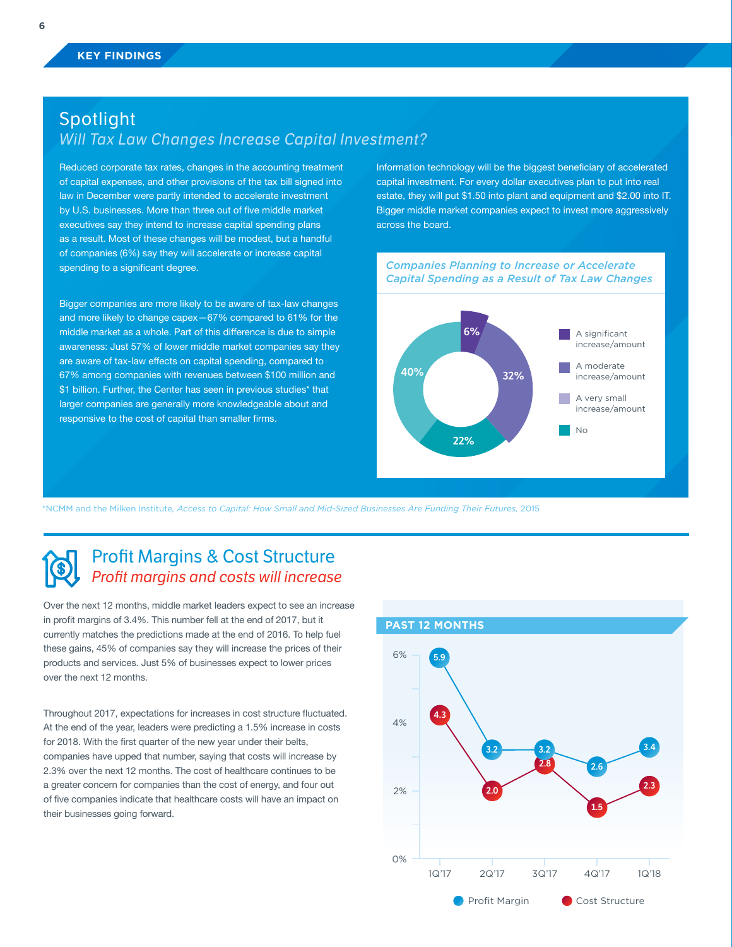## Spotlight *Will Tax Law Changes Increase Capital Investment?*

Reduced corporate tax rates, changes in the accounting treatment of capital expenses, and other provisions of the tax bill signed into law in December were partly intended to accelerate investment by U.S. businesses. More than three out of five middle market executives say they intend to increase capital spending plans as a result. Most of these changes will be modest, but a handful of companies (6%) say they will accelerate or increase capital spending to a significant degree.

Bigger companies are more likely to be aware of tax-law changes and more likely to change capex—67% compared to 61% for the middle market as a whole. Part of this difference is due to simple awareness: Just 57% of lower middle market companies say they are aware of tax-law effects on capital spending, compared to 67% among companies with revenues between \$100 million and \$1 billion. Further, the Center has seen in previous studies\* that larger companies are generally more knowledgeable about and responsive to the cost of capital than smaller firms.

Information technology will be the biggest beneficiary of accelerated capital investment. For every dollar executives plan to put into real estate, they will put \$1.50 into plant and equipment and \$2.00 into IT. Bigger middle market companies expect to invest more aggressively across the board.



\*NCMM and the Milken Institute*, Access to Capital: How Small and Mid-Sized Businesses Are Funding Their Futures,* 2015

## Profit Margins & Cost Structure *Profit margins and costs will increase*

Over the next 12 months, middle market leaders expect to see an increase in profit margins of 3.4%. This number fell at the end of 2017, but it currently matches the predictions made at the end of 2016. To help fuel these gains, 45% of companies say they will increase the prices of their products and services. Just 5% of businesses expect to lower prices over the next 12 months.

Throughout 2017, expectations for increases in cost structure fluctuated. At the end of the year, leaders were predicting a 1.5% increase in costs for 2018. With the first quarter of the new year under their belts, companies have upped that number, saying that costs will increase by 2.3% over the next 12 months. The cost of healthcare continues to be a greater concern for companies than the cost of energy, and four out of five companies indicate that healthcare costs will have an impact on their businesses going forward.

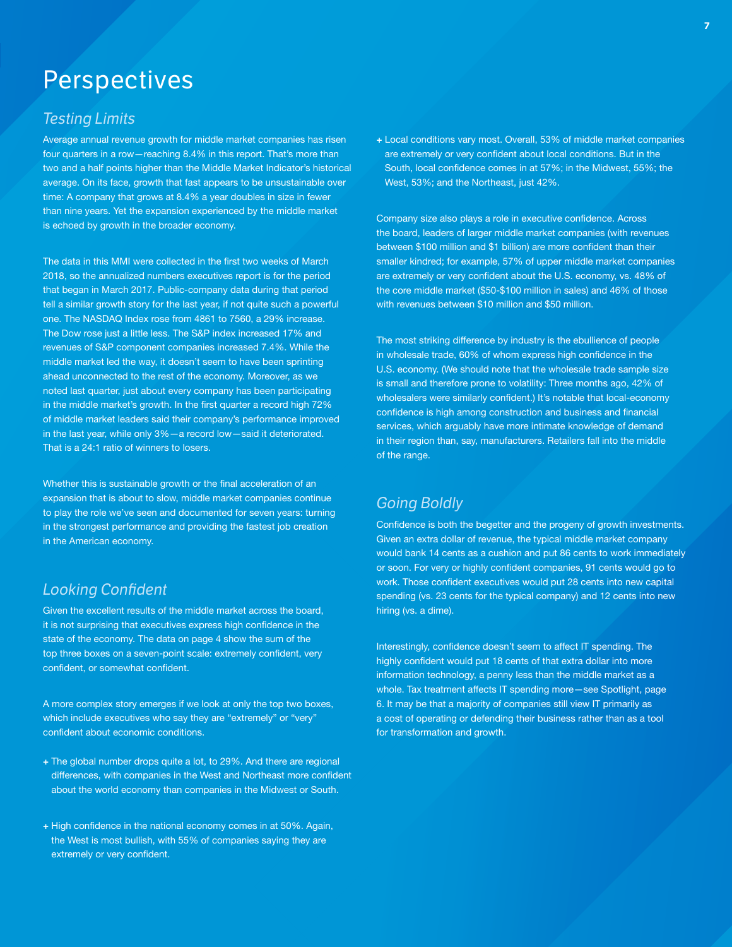# **Perspectives**

#### *Testing Limits*

Average annual revenue growth for middle market companies has risen four quarters in a row—reaching 8.4% in this report. That's more than two and a half points higher than the Middle Market Indicator's historical average. On its face, growth that fast appears to be unsustainable over time: A company that grows at 8.4% a year doubles in size in fewer than nine years. Yet the expansion experienced by the middle market is echoed by growth in the broader economy.

The data in this MMI were collected in the first two weeks of March 2018, so the annualized numbers executives report is for the period that began in March 2017. Public-company data during that period tell a similar growth story for the last year, if not quite such a powerful one. The NASDAQ Index rose from 4861 to 7560, a 29% increase. The Dow rose just a little less. The S&P index increased 17% and revenues of S&P component companies increased 7.4%. While the middle market led the way, it doesn't seem to have been sprinting ahead unconnected to the rest of the economy. Moreover, as we noted last quarter, just about every company has been participating in the middle market's growth. In the first quarter a record high 72% of middle market leaders said their company's performance improved in the last year, while only 3%—a record low—said it deteriorated. That is a 24:1 ratio of winners to losers.

Whether this is sustainable growth or the final acceleration of an expansion that is about to slow, middle market companies continue to play the role we've seen and documented for seven years: turning in the strongest performance and providing the fastest job creation in the American economy.

#### *Looking Confident*

Given the excellent results of the middle market across the board, it is not surprising that executives express high confidence in the state of the economy. The data on page 4 show the sum of the top three boxes on a seven-point scale: extremely confident, very confident, or somewhat confident.

A more complex story emerges if we look at only the top two boxes, which include executives who say they are "extremely" or "very" confident about economic conditions.

- **+** The global number drops quite a lot, to 29%. And there are regional differences, with companies in the West and Northeast more confident about the world economy than companies in the Midwest or South.
- **+** High confidence in the national economy comes in at 50%. Again, the West is most bullish, with 55% of companies saying they are extremely or very confident.

**+** Local conditions vary most. Overall, 53% of middle market companies are extremely or very confident about local conditions. But in the South, local confidence comes in at 57%; in the Midwest, 55%; the West, 53%; and the Northeast, just 42%.

Company size also plays a role in executive confidence. Across the board, leaders of larger middle market companies (with revenues between \$100 million and \$1 billion) are more confident than their smaller kindred; for example, 57% of upper middle market companies are extremely or very confident about the U.S. economy, vs. 48% of the core middle market (\$50-\$100 million in sales) and 46% of those with revenues between \$10 million and \$50 million.

The most striking difference by industry is the ebullience of people in wholesale trade, 60% of whom express high confidence in the U.S. economy. (We should note that the wholesale trade sample size is small and therefore prone to volatility: Three months ago, 42% of wholesalers were similarly confident.) It's notable that local-economy confidence is high among construction and business and financial services, which arguably have more intimate knowledge of demand in their region than, say, manufacturers. Retailers fall into the middle of the range.

### *Going Boldly*

Confidence is both the begetter and the progeny of growth investments. Given an extra dollar of revenue, the typical middle market company would bank 14 cents as a cushion and put 86 cents to work immediately or soon. For very or highly confident companies, 91 cents would go to work. Those confident executives would put 28 cents into new capital spending (vs. 23 cents for the typical company) and 12 cents into new hiring (vs. a dime).

Interestingly, confidence doesn't seem to affect IT spending. The highly confident would put 18 cents of that extra dollar into more information technology, a penny less than the middle market as a whole. Tax treatment affects IT spending more—see Spotlight, page 6. It may be that a majority of companies still view IT primarily as a cost of operating or defending their business rather than as a tool for transformation and growth.